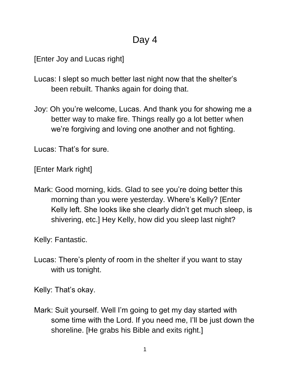## Day 4

[Enter Joy and Lucas right]

- Lucas: I slept so much better last night now that the shelter's been rebuilt. Thanks again for doing that.
- Joy: Oh you're welcome, Lucas. And thank you for showing me a better way to make fire. Things really go a lot better when we're forgiving and loving one another and not fighting.

Lucas: That's for sure.

[Enter Mark right]

Mark: Good morning, kids. Glad to see you're doing better this morning than you were yesterday. Where's Kelly? [Enter Kelly left. She looks like she clearly didn't get much sleep, is shivering, etc.] Hey Kelly, how did you sleep last night?

Kelly: Fantastic.

Lucas: There's plenty of room in the shelter if you want to stay with us tonight.

Kelly: That's okay.

Mark: Suit yourself. Well I'm going to get my day started with some time with the Lord. If you need me, I'll be just down the shoreline. [He grabs his Bible and exits right.]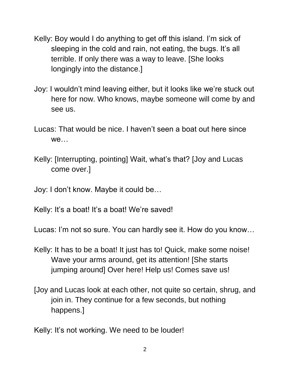- Kelly: Boy would I do anything to get off this island. I'm sick of sleeping in the cold and rain, not eating, the bugs. It's all terrible. If only there was a way to leave. [She looks longingly into the distance.]
- Joy: I wouldn't mind leaving either, but it looks like we're stuck out here for now. Who knows, maybe someone will come by and see us.
- Lucas: That would be nice. I haven't seen a boat out here since we…
- Kelly: [Interrupting, pointing] Wait, what's that? [Joy and Lucas come over.]
- Joy: I don't know. Maybe it could be…
- Kelly: It's a boat! It's a boat! We're saved!
- Lucas: I'm not so sure. You can hardly see it. How do you know…
- Kelly: It has to be a boat! It just has to! Quick, make some noise! Wave your arms around, get its attention! [She starts jumping around] Over here! Help us! Comes save us!
- [Joy and Lucas look at each other, not quite so certain, shrug, and join in. They continue for a few seconds, but nothing happens.]
- Kelly: It's not working. We need to be louder!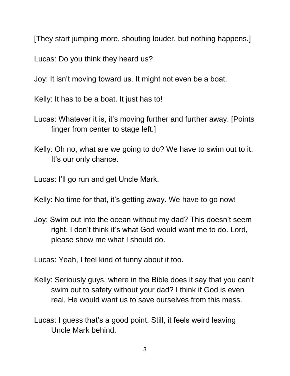[They start jumping more, shouting louder, but nothing happens.]

Lucas: Do you think they heard us?

Joy: It isn't moving toward us. It might not even be a boat.

Kelly: It has to be a boat. It just has to!

- Lucas: Whatever it is, it's moving further and further away. [Points finger from center to stage left.]
- Kelly: Oh no, what are we going to do? We have to swim out to it. It's our only chance.

Lucas: I'll go run and get Uncle Mark.

Kelly: No time for that, it's getting away. We have to go now!

Joy: Swim out into the ocean without my dad? This doesn't seem right. I don't think it's what God would want me to do. Lord, please show me what I should do.

Lucas: Yeah, I feel kind of funny about it too.

- Kelly: Seriously guys, where in the Bible does it say that you can't swim out to safety without your dad? I think if God is even real, He would want us to save ourselves from this mess.
- Lucas: I guess that's a good point. Still, it feels weird leaving Uncle Mark behind.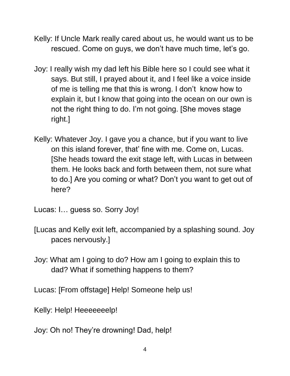- Kelly: If Uncle Mark really cared about us, he would want us to be rescued. Come on guys, we don't have much time, let's go.
- Joy: I really wish my dad left his Bible here so I could see what it says. But still, I prayed about it, and I feel like a voice inside of me is telling me that this is wrong. I don't know how to explain it, but I know that going into the ocean on our own is not the right thing to do. I'm not going. [She moves stage right.]
- Kelly: Whatever Joy. I gave you a chance, but if you want to live on this island forever, that' fine with me. Come on, Lucas. [She heads toward the exit stage left, with Lucas in between them. He looks back and forth between them, not sure what to do.] Are you coming or what? Don't you want to get out of here?

Lucas: I… guess so. Sorry Joy!

- [Lucas and Kelly exit left, accompanied by a splashing sound. Joy paces nervously.]
- Joy: What am I going to do? How am I going to explain this to dad? What if something happens to them?

Lucas: [From offstage] Help! Someone help us!

Kelly: Help! Heeeeeeelp!

Joy: Oh no! They're drowning! Dad, help!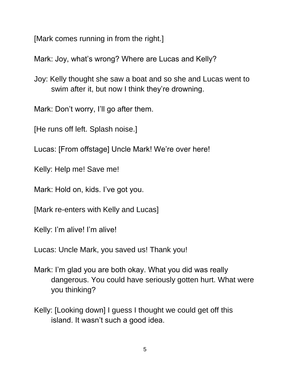[Mark comes running in from the right.]

Mark: Joy, what's wrong? Where are Lucas and Kelly?

Joy: Kelly thought she saw a boat and so she and Lucas went to swim after it, but now I think they're drowning.

Mark: Don't worry, I'll go after them.

[He runs off left. Splash noise.]

Lucas: [From offstage] Uncle Mark! We're over here!

Kelly: Help me! Save me!

Mark: Hold on, kids. I've got you.

[Mark re-enters with Kelly and Lucas]

Kelly: I'm alive! I'm alive!

Lucas: Uncle Mark, you saved us! Thank you!

- Mark: I'm glad you are both okay. What you did was really dangerous. You could have seriously gotten hurt. What were you thinking?
- Kelly: [Looking down] I guess I thought we could get off this island. It wasn't such a good idea.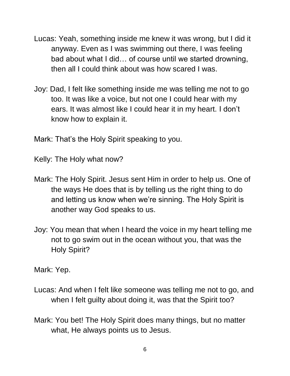- Lucas: Yeah, something inside me knew it was wrong, but I did it anyway. Even as I was swimming out there, I was feeling bad about what I did… of course until we started drowning, then all I could think about was how scared I was.
- Joy: Dad, I felt like something inside me was telling me not to go too. It was like a voice, but not one I could hear with my ears. It was almost like I could hear it in my heart. I don't know how to explain it.

Mark: That's the Holy Spirit speaking to you.

Kelly: The Holy what now?

- Mark: The Holy Spirit. Jesus sent Him in order to help us. One of the ways He does that is by telling us the right thing to do and letting us know when we're sinning. The Holy Spirit is another way God speaks to us.
- Joy: You mean that when I heard the voice in my heart telling me not to go swim out in the ocean without you, that was the Holy Spirit?

Mark: Yep.

- Lucas: And when I felt like someone was telling me not to go, and when I felt guilty about doing it, was that the Spirit too?
- Mark: You bet! The Holy Spirit does many things, but no matter what, He always points us to Jesus.